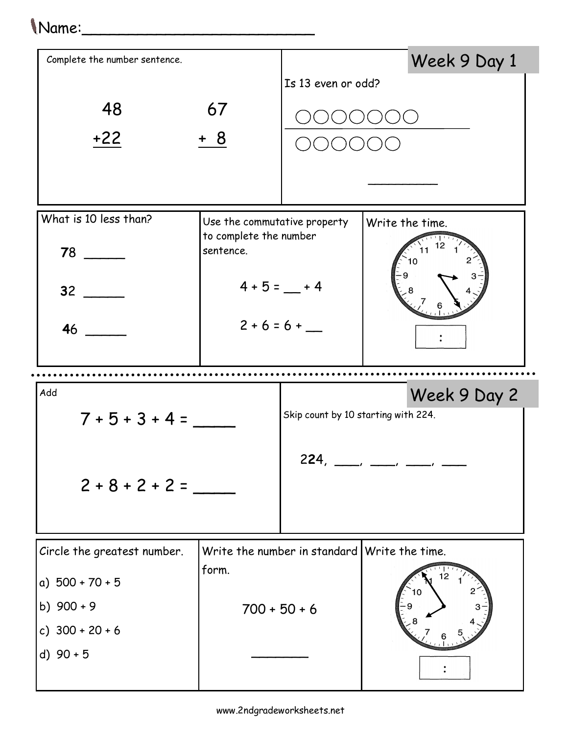## 1 Name:

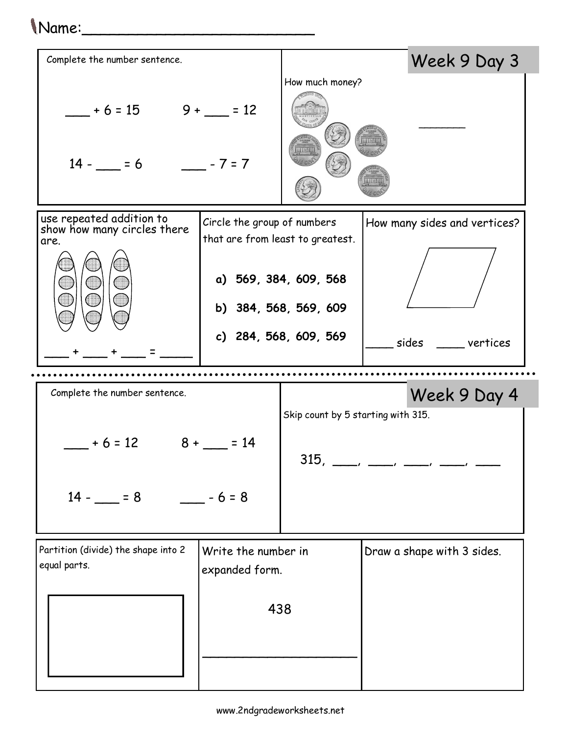## Name:\_\_\_\_\_\_\_\_\_\_\_\_\_\_\_\_\_\_\_\_\_\_\_\_\_